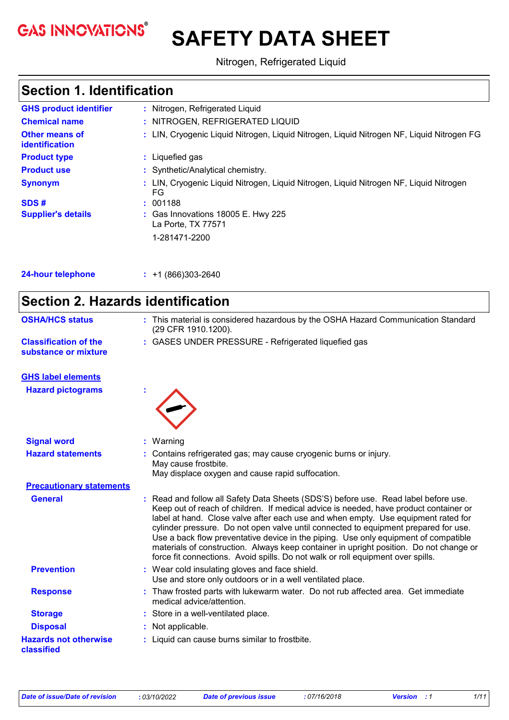**GAS INNOVATIONS®** 

# **SAFETY DATA SHEET**

Nitrogen, Refrigerated Liquid

### **Section 1. Identification**

| <b>GHS product identifier</b>           | : Nitrogen, Refrigerated Liquid                                                              |
|-----------------------------------------|----------------------------------------------------------------------------------------------|
| <b>Chemical name</b>                    | : NITROGEN, REFRIGERATED LIQUID                                                              |
| <b>Other means of</b><br>identification | : LIN, Cryogenic Liquid Nitrogen, Liquid Nitrogen, Liquid Nitrogen NF, Liquid Nitrogen FG    |
| <b>Product type</b>                     | : Liquefied gas                                                                              |
| <b>Product use</b>                      | : Synthetic/Analytical chemistry.                                                            |
| <b>Synonym</b>                          | : LIN, Cryogenic Liquid Nitrogen, Liquid Nitrogen, Liquid Nitrogen NF, Liquid Nitrogen<br>FG |
| SDS#                                    | : 001188                                                                                     |
| <b>Supplier's details</b>               | : Gas Innovations 18005 E. Hwy 225<br>La Porte, TX 77571                                     |
|                                         | 1-281471-2200                                                                                |
|                                         |                                                                                              |
|                                         |                                                                                              |

**24-hour telephone :** +1 (866)303-2640

| <b>Section 2. Hazards identification</b>             |                                                                                                                                                                                                                                                                                                                                                                                                                                                                                                                                                                                                                            |  |
|------------------------------------------------------|----------------------------------------------------------------------------------------------------------------------------------------------------------------------------------------------------------------------------------------------------------------------------------------------------------------------------------------------------------------------------------------------------------------------------------------------------------------------------------------------------------------------------------------------------------------------------------------------------------------------------|--|
| <b>OSHA/HCS status</b>                               | : This material is considered hazardous by the OSHA Hazard Communication Standard<br>(29 CFR 1910.1200).                                                                                                                                                                                                                                                                                                                                                                                                                                                                                                                   |  |
| <b>Classification of the</b><br>substance or mixture | : GASES UNDER PRESSURE - Refrigerated liquefied gas                                                                                                                                                                                                                                                                                                                                                                                                                                                                                                                                                                        |  |
| <b>GHS label elements</b>                            |                                                                                                                                                                                                                                                                                                                                                                                                                                                                                                                                                                                                                            |  |
| <b>Hazard pictograms</b>                             |                                                                                                                                                                                                                                                                                                                                                                                                                                                                                                                                                                                                                            |  |
| <b>Signal word</b>                                   | Warning                                                                                                                                                                                                                                                                                                                                                                                                                                                                                                                                                                                                                    |  |
| <b>Hazard statements</b>                             | Contains refrigerated gas; may cause cryogenic burns or injury.<br>May cause frostbite.<br>May displace oxygen and cause rapid suffocation.                                                                                                                                                                                                                                                                                                                                                                                                                                                                                |  |
| <b>Precautionary statements</b>                      |                                                                                                                                                                                                                                                                                                                                                                                                                                                                                                                                                                                                                            |  |
| <b>General</b>                                       | Read and follow all Safety Data Sheets (SDS'S) before use. Read label before use.<br>Keep out of reach of children. If medical advice is needed, have product container or<br>label at hand. Close valve after each use and when empty. Use equipment rated for<br>cylinder pressure. Do not open valve until connected to equipment prepared for use.<br>Use a back flow preventative device in the piping. Use only equipment of compatible<br>materials of construction. Always keep container in upright position. Do not change or<br>force fit connections. Avoid spills. Do not walk or roll equipment over spills. |  |
| <b>Prevention</b>                                    | : Wear cold insulating gloves and face shield.<br>Use and store only outdoors or in a well ventilated place.                                                                                                                                                                                                                                                                                                                                                                                                                                                                                                               |  |
| <b>Response</b>                                      | : Thaw frosted parts with lukewarm water. Do not rub affected area. Get immediate<br>medical advice/attention.                                                                                                                                                                                                                                                                                                                                                                                                                                                                                                             |  |
| <b>Storage</b>                                       | Store in a well-ventilated place.                                                                                                                                                                                                                                                                                                                                                                                                                                                                                                                                                                                          |  |
| <b>Disposal</b>                                      | Not applicable.                                                                                                                                                                                                                                                                                                                                                                                                                                                                                                                                                                                                            |  |
| <b>Hazards not otherwise</b><br>classified           | : Liquid can cause burns similar to frostbite.                                                                                                                                                                                                                                                                                                                                                                                                                                                                                                                                                                             |  |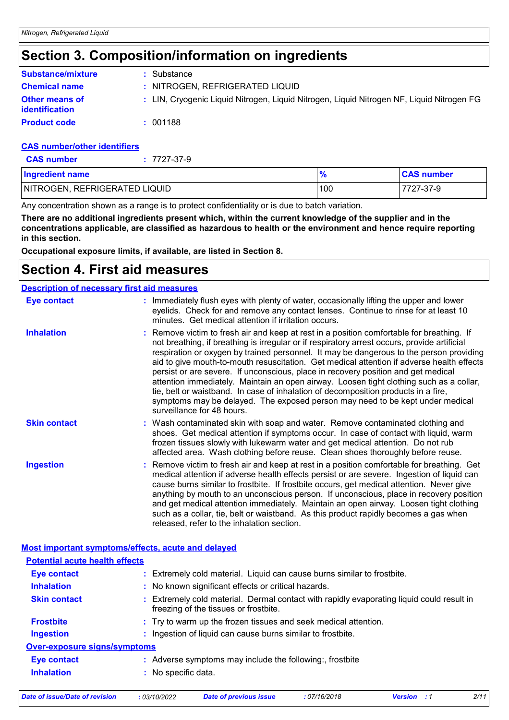### **Section 3. Composition/information on ingredients**

| <b>Substance/mixture</b>                       | : Substance                                                                               |
|------------------------------------------------|-------------------------------------------------------------------------------------------|
| <b>Chemical name</b>                           | : NITROGEN, REFRIGERATED LIQUID                                                           |
| <b>Other means of</b><br><b>identification</b> | : LIN, Cryogenic Liquid Nitrogen, Liquid Nitrogen, Liquid Nitrogen NF, Liquid Nitrogen FG |
| <b>Product code</b>                            | : 001188                                                                                  |

#### **CAS number/other identifiers**

| <b>CAS number</b> | $: 7727 - 37 - 9$ |
|-------------------|-------------------|
|-------------------|-------------------|

| <b>Ingredient name</b>        |     | <b>CAS number</b> |
|-------------------------------|-----|-------------------|
| NITROGEN, REFRIGERATED LIQUID | 100 | 7727-37-9         |

Any concentration shown as a range is to protect confidentiality or is due to batch variation.

**There are no additional ingredients present which, within the current knowledge of the supplier and in the concentrations applicable, are classified as hazardous to health or the environment and hence require reporting in this section.**

**Occupational exposure limits, if available, are listed in Section 8.**

### **Section 4. First aid measures**

|                     | <b>Description of necessary first aid measures</b>                                                                                                                                                                                                                                                                                                                                                                                                                                                                                                                                                                                                                                                                                                                     |
|---------------------|------------------------------------------------------------------------------------------------------------------------------------------------------------------------------------------------------------------------------------------------------------------------------------------------------------------------------------------------------------------------------------------------------------------------------------------------------------------------------------------------------------------------------------------------------------------------------------------------------------------------------------------------------------------------------------------------------------------------------------------------------------------------|
| <b>Eye contact</b>  | : Immediately flush eyes with plenty of water, occasionally lifting the upper and lower<br>eyelids. Check for and remove any contact lenses. Continue to rinse for at least 10<br>minutes. Get medical attention if irritation occurs.                                                                                                                                                                                                                                                                                                                                                                                                                                                                                                                                 |
| <b>Inhalation</b>   | : Remove victim to fresh air and keep at rest in a position comfortable for breathing. If<br>not breathing, if breathing is irregular or if respiratory arrest occurs, provide artificial<br>respiration or oxygen by trained personnel. It may be dangerous to the person providing<br>aid to give mouth-to-mouth resuscitation. Get medical attention if adverse health effects<br>persist or are severe. If unconscious, place in recovery position and get medical<br>attention immediately. Maintain an open airway. Loosen tight clothing such as a collar,<br>tie, belt or waistband. In case of inhalation of decomposition products in a fire,<br>symptoms may be delayed. The exposed person may need to be kept under medical<br>surveillance for 48 hours. |
| <b>Skin contact</b> | : Wash contaminated skin with soap and water. Remove contaminated clothing and<br>shoes. Get medical attention if symptoms occur. In case of contact with liquid, warm<br>frozen tissues slowly with lukewarm water and get medical attention. Do not rub<br>affected area. Wash clothing before reuse. Clean shoes thoroughly before reuse.                                                                                                                                                                                                                                                                                                                                                                                                                           |
| <b>Ingestion</b>    | : Remove victim to fresh air and keep at rest in a position comfortable for breathing. Get<br>medical attention if adverse health effects persist or are severe. Ingestion of liquid can<br>cause burns similar to frostbite. If frostbite occurs, get medical attention. Never give<br>anything by mouth to an unconscious person. If unconscious, place in recovery position<br>and get medical attention immediately. Maintain an open airway. Loosen tight clothing<br>such as a collar, tie, belt or waistband. As this product rapidly becomes a gas when<br>released, refer to the inhalation section.                                                                                                                                                          |

#### **Most important symptoms/effects, acute and delayed**

| <b>Potential acute health effects</b> |                                                                                                                                    |
|---------------------------------------|------------------------------------------------------------------------------------------------------------------------------------|
| Eye contact                           | : Extremely cold material. Liquid can cause burns similar to frostbite.                                                            |
| <b>Inhalation</b>                     | : No known significant effects or critical hazards.                                                                                |
| <b>Skin contact</b>                   | : Extremely cold material. Dermal contact with rapidly evaporating liquid could result in<br>freezing of the tissues or frostbite. |
| <b>Frostbite</b>                      | : Try to warm up the frozen tissues and seek medical attention.                                                                    |
| <b>Ingestion</b>                      | : Ingestion of liquid can cause burns similar to frostbite.                                                                        |
| <b>Over-exposure signs/symptoms</b>   |                                                                                                                                    |
| <b>Eye contact</b>                    | : Adverse symptoms may include the following:, frostbite                                                                           |
| <b>Inhalation</b>                     | No specific data.                                                                                                                  |

*Date of issue/Date of revision* **:** *03/10/2022 Date of previous issue : 07/16/2018 Version : 1 2/11*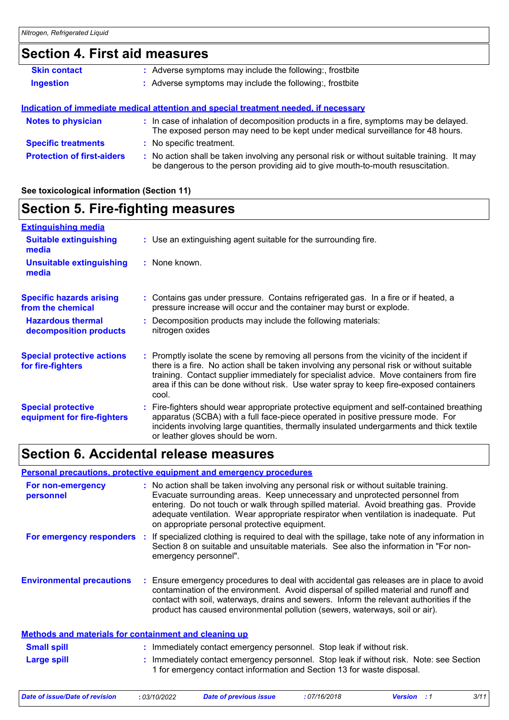### **Section 4. First aid measures**

| <b>Skin contact</b>               | : Adverse symptoms may include the following:, frostbite                                                                                                                      |  |
|-----------------------------------|-------------------------------------------------------------------------------------------------------------------------------------------------------------------------------|--|
| <b>Ingestion</b>                  | : Adverse symptoms may include the following:, frostbite                                                                                                                      |  |
|                                   |                                                                                                                                                                               |  |
|                                   | Indication of immediate medical attention and special treatment needed, if necessary                                                                                          |  |
| <b>Notes to physician</b>         | : In case of inhalation of decomposition products in a fire, symptoms may be delayed.<br>The exposed person may need to be kept under medical surveillance for 48 hours.      |  |
| <b>Specific treatments</b>        | : No specific treatment.                                                                                                                                                      |  |
| <b>Protection of first-aiders</b> | : No action shall be taken involving any personal risk or without suitable training. It may<br>be dangerous to the person providing aid to give mouth-to-mouth resuscitation. |  |

#### **See toxicological information (Section 11)**

### **Section 5. Fire-fighting measures**

| <b>Extinguishing media</b>                               |                                                                                                                                                                                                                                                                                                                                                                                    |
|----------------------------------------------------------|------------------------------------------------------------------------------------------------------------------------------------------------------------------------------------------------------------------------------------------------------------------------------------------------------------------------------------------------------------------------------------|
| <b>Suitable extinguishing</b><br>media                   | : Use an extinguishing agent suitable for the surrounding fire.                                                                                                                                                                                                                                                                                                                    |
| <b>Unsuitable extinguishing</b><br>media                 | : None known.                                                                                                                                                                                                                                                                                                                                                                      |
| <b>Specific hazards arising</b><br>from the chemical     | Contains gas under pressure. Contains refrigerated gas. In a fire or if heated, a<br>pressure increase will occur and the container may burst or explode.                                                                                                                                                                                                                          |
| <b>Hazardous thermal</b><br>decomposition products       | Decomposition products may include the following materials:<br>nitrogen oxides                                                                                                                                                                                                                                                                                                     |
| <b>Special protective actions</b><br>for fire-fighters   | Promptly isolate the scene by removing all persons from the vicinity of the incident if<br>there is a fire. No action shall be taken involving any personal risk or without suitable<br>training. Contact supplier immediately for specialist advice. Move containers from fire<br>area if this can be done without risk. Use water spray to keep fire-exposed containers<br>cool. |
| <b>Special protective</b><br>equipment for fire-fighters | : Fire-fighters should wear appropriate protective equipment and self-contained breathing<br>apparatus (SCBA) with a full face-piece operated in positive pressure mode. For<br>incidents involving large quantities, thermally insulated undergarments and thick textile<br>or leather gloves should be worn.                                                                     |

### **Section 6. Accidental release measures**

### **Personal precautions, protective equipment and emergency procedures**

| For non-emergency<br>personnel                               | : No action shall be taken involving any personal risk or without suitable training.<br>Evacuate surrounding areas. Keep unnecessary and unprotected personnel from<br>entering. Do not touch or walk through spilled material. Avoid breathing gas. Provide<br>adequate ventilation. Wear appropriate respirator when ventilation is inadequate. Put<br>on appropriate personal protective equipment. |
|--------------------------------------------------------------|--------------------------------------------------------------------------------------------------------------------------------------------------------------------------------------------------------------------------------------------------------------------------------------------------------------------------------------------------------------------------------------------------------|
| For emergency responders                                     | If specialized clothing is required to deal with the spillage, take note of any information in<br>Section 8 on suitable and unsuitable materials. See also the information in "For non-<br>emergency personnel".                                                                                                                                                                                       |
| <b>Environmental precautions</b>                             | : Ensure emergency procedures to deal with accidental gas releases are in place to avoid<br>contamination of the environment. Avoid dispersal of spilled material and runoff and<br>contact with soil, waterways, drains and sewers. Inform the relevant authorities if the<br>product has caused environmental pollution (sewers, waterways, soil or air).                                            |
| <b>Methods and materials for containment and cleaning up</b> |                                                                                                                                                                                                                                                                                                                                                                                                        |
| <b>Small spill</b>                                           | : Immediately contact emergency personnel. Stop leak if without risk.                                                                                                                                                                                                                                                                                                                                  |
| <b>Large spill</b>                                           | : Immediately contact emergency personnel. Stop leak if without risk. Note: see Section<br>1 for emergency contact information and Section 13 for waste disposal.                                                                                                                                                                                                                                      |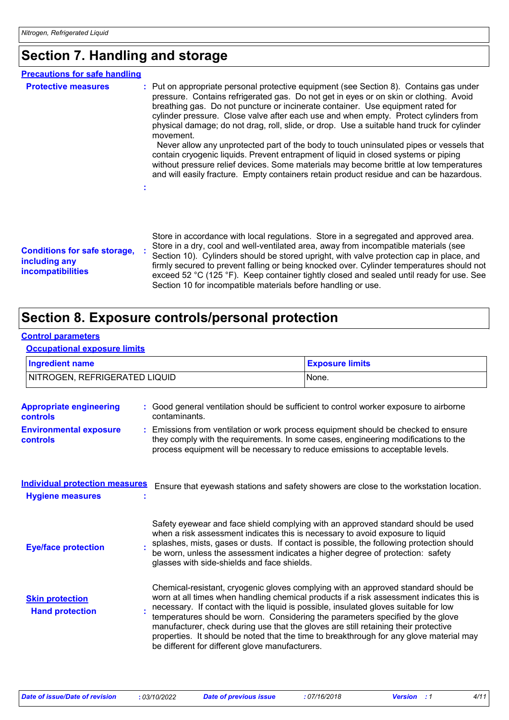### **Section 7. Handling and storage**

| <b>Precautions for safe handling</b>                                             |                                                                                                                                                                                                                                                                                                                                                                                                                                                                                                                                                                                                                                                                                                                                                                                                                                              |
|----------------------------------------------------------------------------------|----------------------------------------------------------------------------------------------------------------------------------------------------------------------------------------------------------------------------------------------------------------------------------------------------------------------------------------------------------------------------------------------------------------------------------------------------------------------------------------------------------------------------------------------------------------------------------------------------------------------------------------------------------------------------------------------------------------------------------------------------------------------------------------------------------------------------------------------|
| <b>Protective measures</b>                                                       | : Put on appropriate personal protective equipment (see Section 8). Contains gas under<br>pressure. Contains refrigerated gas. Do not get in eyes or on skin or clothing. Avoid<br>breathing gas. Do not puncture or incinerate container. Use equipment rated for<br>cylinder pressure. Close valve after each use and when empty. Protect cylinders from<br>physical damage; do not drag, roll, slide, or drop. Use a suitable hand truck for cylinder<br>movement.<br>Never allow any unprotected part of the body to touch uninsulated pipes or vessels that<br>contain cryogenic liquids. Prevent entrapment of liquid in closed systems or piping<br>without pressure relief devices. Some materials may become brittle at low temperatures<br>and will easily fracture. Empty containers retain product residue and can be hazardous. |
| <b>Conditions for safe storage,</b><br>including any<br><b>incompatibilities</b> | Store in accordance with local regulations. Store in a segregated and approved area.<br>Store in a dry, cool and well-ventilated area, away from incompatible materials (see<br>Section 10). Cylinders should be stored upright, with valve protection cap in place, and<br>firmly secured to prevent falling or being knocked over. Cylinder temperatures should not<br>exceed 52 °C (125 °F). Keep container tightly closed and sealed until ready for use. See<br>Section 10 for incompatible materials before handling or use.                                                                                                                                                                                                                                                                                                           |

### **Section 8. Exposure controls/personal protection**

#### **Control parameters**

**Occupational exposure limits**

| <b>Ingredient name</b>        | <b>Exposure limits</b> |
|-------------------------------|------------------------|
| NITROGEN, REFRIGERATED LIQUID | None.                  |
|                               |                        |

| <b>Appropriate engineering</b><br><b>controls</b>                | : Good general ventilation should be sufficient to control worker exposure to airborne<br>contaminants.                                                                                                                                                                                                                                                                                                                                                                                                                                                                                       |
|------------------------------------------------------------------|-----------------------------------------------------------------------------------------------------------------------------------------------------------------------------------------------------------------------------------------------------------------------------------------------------------------------------------------------------------------------------------------------------------------------------------------------------------------------------------------------------------------------------------------------------------------------------------------------|
| <b>Environmental exposure</b><br><b>controls</b>                 | : Emissions from ventilation or work process equipment should be checked to ensure<br>they comply with the requirements. In some cases, engineering modifications to the<br>process equipment will be necessary to reduce emissions to acceptable levels.                                                                                                                                                                                                                                                                                                                                     |
| <b>Individual protection measures</b><br><b>Hygiene measures</b> | Ensure that eyewash stations and safety showers are close to the workstation location.                                                                                                                                                                                                                                                                                                                                                                                                                                                                                                        |
| <b>Eye/face protection</b>                                       | Safety eyewear and face shield complying with an approved standard should be used<br>when a risk assessment indicates this is necessary to avoid exposure to liquid<br>splashes, mists, gases or dusts. If contact is possible, the following protection should<br>be worn, unless the assessment indicates a higher degree of protection: safety<br>glasses with side-shields and face shields.                                                                                                                                                                                              |
| <b>Skin protection</b><br><b>Hand protection</b>                 | Chemical-resistant, cryogenic gloves complying with an approved standard should be<br>worn at all times when handling chemical products if a risk assessment indicates this is<br>necessary. If contact with the liquid is possible, insulated gloves suitable for low<br>temperatures should be worn. Considering the parameters specified by the glove<br>manufacturer, check during use that the gloves are still retaining their protective<br>properties. It should be noted that the time to breakthrough for any glove material may<br>be different for different glove manufacturers. |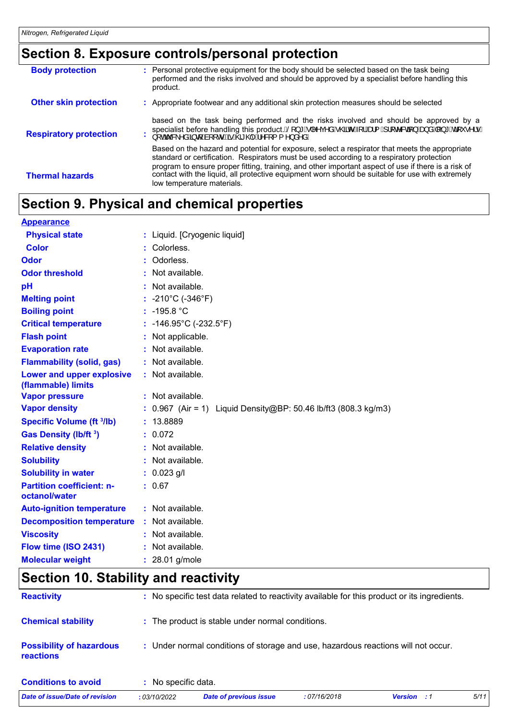## **Section 8. Exposure controls/personal protection**

| <b>Body protection</b>        | : Personal protective equipment for the body should be selected based on the task being<br>performed and the risks involved and should be approved by a specialist before handling this<br>product.                                                                                                |
|-------------------------------|----------------------------------------------------------------------------------------------------------------------------------------------------------------------------------------------------------------------------------------------------------------------------------------------------|
| <b>Other skin protection</b>  | Appropriate footwear and any additional skin protection measures should be selected                                                                                                                                                                                                                |
| <b>Respiratory protection</b> | based on the task being performed and the risks involved and should be approved by a<br>specialist before handling this product.俗  * A  ^^ç^åA @do A[   Ado  A   [ c^&q } Ado åA[ } * Ad [ ˇ ● ^   ● A<br>} [ okš & ^åA§ q Aa[ [ o                                                                 |
|                               | Based on the hazard and potential for exposure, select a respirator that meets the appropriate<br>standard or certification. Respirators must be used according to a respiratory protection<br>program to ensure proper fitting, training, and other important aspect of use if there is a risk of |
| <b>Thermal hazards</b>        | contact with the liquid, all protective equipment worn should be suitable for use with extremely<br>low temperature materials.                                                                                                                                                                     |

## **Section 9. Physical and chemical properties**

| <b>Appearance</b>                                 |                                                                   |
|---------------------------------------------------|-------------------------------------------------------------------|
| <b>Physical state</b>                             | : Liquid. [Cryogenic liquid]                                      |
| Color                                             | Colorless.                                                        |
| Odor                                              | : Odorless.                                                       |
| <b>Odor threshold</b>                             | : Not available.                                                  |
| pH                                                | : Not available.                                                  |
| <b>Melting point</b>                              | : $-210^{\circ}$ C ( $-346^{\circ}$ F)                            |
| <b>Boiling point</b>                              | : $-195.8 °C$                                                     |
| <b>Critical temperature</b>                       | : $-146.95^{\circ}$ C ( $-232.5^{\circ}$ F)                       |
| <b>Flash point</b>                                | : Not applicable.                                                 |
| <b>Evaporation rate</b>                           | : Not available.                                                  |
| <b>Flammability (solid, gas)</b>                  | : Not available.                                                  |
| Lower and upper explosive<br>(flammable) limits   | : Not available.                                                  |
| <b>Vapor pressure</b>                             | : Not available.                                                  |
| <b>Vapor density</b>                              | : $0.967$ (Air = 1) Liquid Density@BP: 50.46 lb/ft3 (808.3 kg/m3) |
| <b>Specific Volume (ft 3/lb)</b>                  | : 13.8889                                                         |
| Gas Density (lb/ft 3)                             | : 0.072                                                           |
| <b>Relative density</b>                           | : Not available.                                                  |
| <b>Solubility</b>                                 | : Not available.                                                  |
| <b>Solubility in water</b>                        | $: 0.023$ g/l                                                     |
| <b>Partition coefficient: n-</b><br>octanol/water | : 0.67                                                            |
| <b>Auto-ignition temperature</b>                  | : Not available.                                                  |
| <b>Decomposition temperature</b>                  | : Not available.                                                  |
| <b>Viscosity</b>                                  | : Not available.                                                  |
| Flow time (ISO 2431)                              | : Not available.                                                  |
| <b>Molecular weight</b>                           | : 28.01 g/mole                                                    |

## **Section 10. Stability and reactivity**

| Date of issue/Date of revision                      | : 03/10/2022        | <b>Date of previous issue</b>                                                                | :07/16/2018 | <b>Version</b> : 1 | 5/11 |
|-----------------------------------------------------|---------------------|----------------------------------------------------------------------------------------------|-------------|--------------------|------|
| <b>Conditions to avoid</b>                          | : No specific data. |                                                                                              |             |                    |      |
| <b>Possibility of hazardous</b><br><b>reactions</b> |                     | : Under normal conditions of storage and use, hazardous reactions will not occur.            |             |                    |      |
| <b>Chemical stability</b>                           |                     | : The product is stable under normal conditions.                                             |             |                    |      |
| <b>Reactivity</b>                                   |                     | : No specific test data related to reactivity available for this product or its ingredients. |             |                    |      |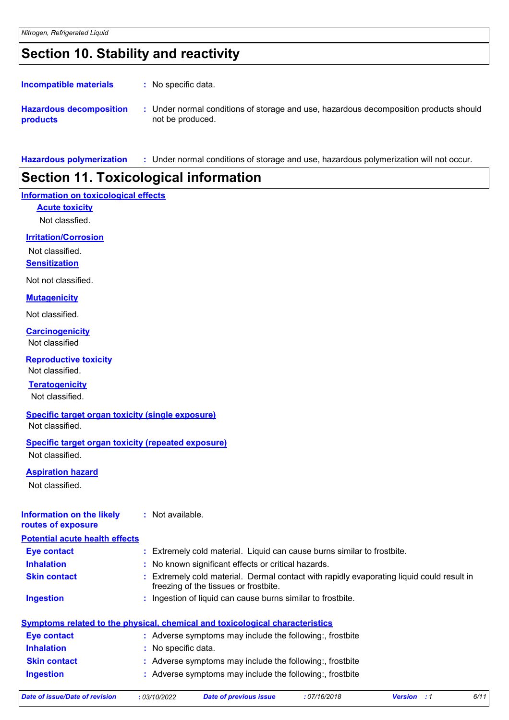### **Section 10. Stability and reactivity**

: No specific data. **Incompatible materials :**

**Hazardous decomposition products** Under normal conditions of storage and use, hazardous decomposition products should **:** not be produced.

**Hazardous polymerization :** Under normal conditions of storage and use, hazardous polymerization will not occur.

### **Section 11. Toxicological information**

#### **Information on toxicological effects**

**Acute toxicity**

Not classfied.

#### **Irritation/Corrosion**

Not classified.

**Sensitization**

Not not classified.

#### **Mutagenicity**

Not classified.

Not classified **Carcinogenicity**

**Reproductive toxicity**

#### **Teratogenicity** Not classified.

Not classified.

**Specific target organ toxicity (single exposure)** Not classified.

#### **Specific target organ toxicity (repeated exposure)**

Not classified.

#### **Aspiration hazard**

Not classified.

#### **Information on the likely routes of exposure :** Not available.

| <b>Potential acute health effects</b> |                                                                                                                                    |
|---------------------------------------|------------------------------------------------------------------------------------------------------------------------------------|
| <b>Eye contact</b>                    | : Extremely cold material. Liquid can cause burns similar to frostbite.                                                            |
| <b>Inhalation</b>                     | : No known significant effects or critical hazards.                                                                                |
| <b>Skin contact</b>                   | : Extremely cold material. Dermal contact with rapidly evaporating liquid could result in<br>freezing of the tissues or frostbite. |
| <b>Ingestion</b>                      | : Ingestion of liquid can cause burns similar to frostbite.                                                                        |
|                                       | <u>Symptoms related to the physical, chemical and toxicological characteristics</u>                                                |
| <b>Eye contact</b>                    | : Adverse symptoms may include the following:, frostbite                                                                           |
| <b>Inhalation</b>                     | : No specific data.                                                                                                                |
| <b>Skin contact</b>                   | : Adverse symptoms may include the following:, frostbite                                                                           |
| <b>Ingestion</b>                      | : Adverse symptoms may include the following: frostbite                                                                            |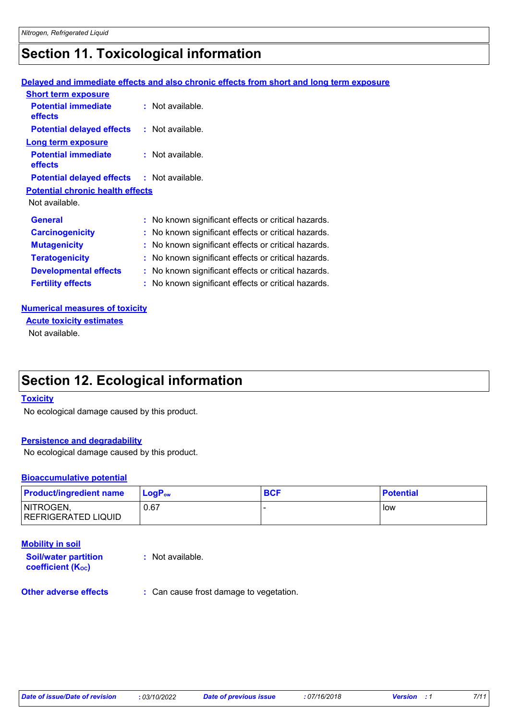### **Section 11. Toxicological information**

#### **Delayed and immediate effects and also chronic effects from short and long term exposure**

| <b>Short term exposure</b>              |                                                     |
|-----------------------------------------|-----------------------------------------------------|
| <b>Potential immediate</b><br>effects   | : Not available.                                    |
| <b>Potential delayed effects</b>        | : Not available.                                    |
| Long term exposure                      |                                                     |
| <b>Potential immediate</b><br>effects   | : Not available.                                    |
| <b>Potential delayed effects</b>        | : Not available.                                    |
| <b>Potential chronic health effects</b> |                                                     |
| Not available.                          |                                                     |
| <b>General</b>                          | : No known significant effects or critical hazards. |
| <b>Carcinogenicity</b>                  | : No known significant effects or critical hazards. |
| <b>Mutagenicity</b>                     | : No known significant effects or critical hazards. |
| <b>Teratogenicity</b>                   | : No known significant effects or critical hazards. |
| <b>Developmental effects</b>            | : No known significant effects or critical hazards. |
| <b>Fertility effects</b>                | : No known significant effects or critical hazards. |

#### **Numerical measures of toxicity**

Not available. **Acute toxicity estimates**

### **Section 12. Ecological information**

#### **Toxicity**

No ecological damage caused by this product.

#### **Persistence and degradability**

No ecological damage caused by this product.

#### **Bioaccumulative potential**

| <b>Product/ingredient name</b>          | $LoaPow$ | <b>BCF</b> | <b>Potential</b> |
|-----------------------------------------|----------|------------|------------------|
| NITROGEN,<br><b>REFRIGERATED LIQUID</b> | 0.67     |            | low              |

| <b>Mobility in soil</b>                                 |                  |
|---------------------------------------------------------|------------------|
| <b>Soil/water partition</b><br><b>coefficient (Koc)</b> | : Not available. |

**Other adverse effects** : Can cause frost damage to vegetation.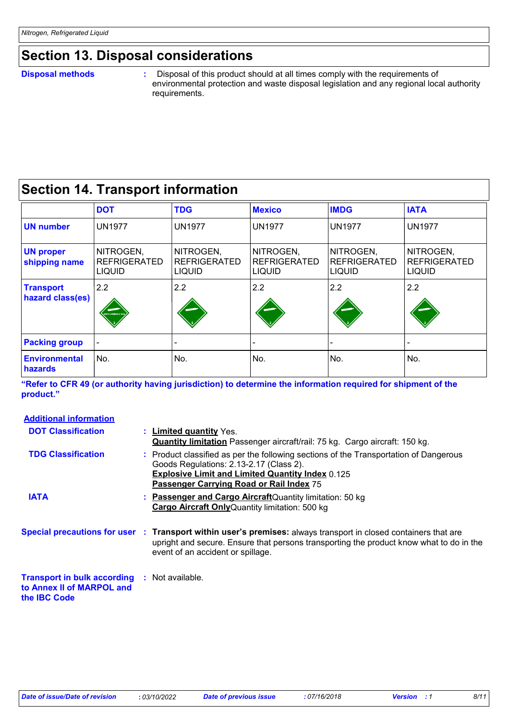### **Section 13. Disposal considerations**

#### **Disposal methods :**

**the IBC Code**

 Disposal of this product should at all times comply with the requirements of environmental protection and waste disposal legislation and any regional local authority requirements.

### **Section 14. Transport information**

|                                      | <b>DOT</b>                                        | <b>TDG</b>                                        | <b>Mexico</b>                              | <b>IMDG</b>                                | <b>IATA</b>                                       |
|--------------------------------------|---------------------------------------------------|---------------------------------------------------|--------------------------------------------|--------------------------------------------|---------------------------------------------------|
| <b>UN number</b>                     | <b>UN1977</b>                                     | <b>UN1977</b>                                     | <b>UN1977</b>                              | <b>UN1977</b>                              | <b>UN1977</b>                                     |
| <b>UN proper</b><br>shipping name    | NITROGEN,<br><b>REFRIGERATED</b><br><b>LIQUID</b> | NITROGEN,<br><b>REFRIGERATED</b><br><b>LIQUID</b> | NITROGEN,<br><b>REFRIGERATED</b><br>LIQUID | NITROGEN,<br>REFRIGERATED<br><b>LIQUID</b> | NITROGEN,<br><b>REFRIGERATED</b><br><b>LIQUID</b> |
| <b>Transport</b><br>hazard class(es) | 2.2<br><b>NON-FLAMMABLE GA</b>                    | 2.2                                               | 2.2                                        | 2.2                                        | 2.2                                               |
| <b>Packing group</b>                 |                                                   |                                                   |                                            |                                            |                                                   |
| <b>Environmental</b><br>hazards      | No.                                               | No.                                               | No.                                        | No.                                        | No.                                               |

**"Refer to CFR 49 (or authority having jurisdiction) to determine the information required for shipment of the product."** 

| <b>Additional information</b>                                   |                                                                                                                                                                                                                                                 |
|-----------------------------------------------------------------|-------------------------------------------------------------------------------------------------------------------------------------------------------------------------------------------------------------------------------------------------|
| <b>DOT Classification</b>                                       | : Limited quantity Yes.<br><b>Quantity limitation</b> Passenger aircraft/rail: 75 kg. Cargo aircraft: 150 kg.                                                                                                                                   |
| <b>TDG Classification</b>                                       | : Product classified as per the following sections of the Transportation of Dangerous<br>Goods Regulations: 2.13-2.17 (Class 2).<br><b>Explosive Limit and Limited Quantity Index 0.125</b><br>Passenger Carrying Road or Rail Index 75         |
| <b>IATA</b>                                                     | : Passenger and Cargo Aircraft Quantity limitation: 50 kg<br><b>Cargo Aircraft Only</b> Quantity limitation: 500 kg                                                                                                                             |
|                                                                 | Special precautions for user : Transport within user's premises: always transport in closed containers that are<br>upright and secure. Ensure that persons transporting the product know what to do in the<br>event of an accident or spillage. |
| <b>Transport in bulk according</b><br>to Annex II of MARPOL and | : Not available.                                                                                                                                                                                                                                |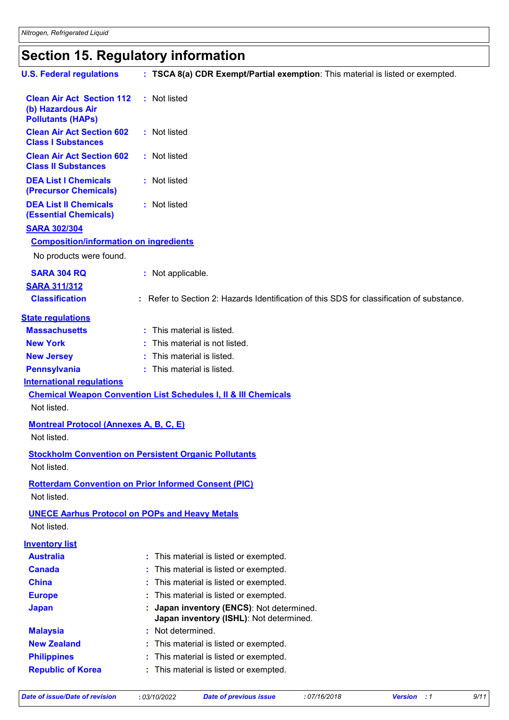# **Section 15. Regulatory information**

| <b>U.S. Federal regulations</b>                                                   | : TSCA 8(a) CDR Exempt/Partial exemption: This material is listed or exempted.            |
|-----------------------------------------------------------------------------------|-------------------------------------------------------------------------------------------|
| <b>Clean Air Act Section 112</b><br>(b) Hazardous Air<br><b>Pollutants (HAPs)</b> | : Not listed                                                                              |
| <b>Clean Air Act Section 602</b><br><b>Class I Substances</b>                     | : Not listed                                                                              |
| <b>Clean Air Act Section 602</b><br><b>Class II Substances</b>                    | : Not listed                                                                              |
| <b>DEA List I Chemicals</b><br>(Precursor Chemicals)                              | : Not listed                                                                              |
| <b>DEA List II Chemicals</b><br><b>(Essential Chemicals)</b>                      | : Not listed                                                                              |
| <b>SARA 302/304</b>                                                               |                                                                                           |
| <b>Composition/information on ingredients</b>                                     |                                                                                           |
| No products were found.                                                           |                                                                                           |
| <b>SARA 304 RQ</b>                                                                | : Not applicable.                                                                         |
| <b>SARA 311/312</b>                                                               |                                                                                           |
| <b>Classification</b>                                                             | : Refer to Section 2: Hazards Identification of this SDS for classification of substance. |
| <b>State regulations</b>                                                          |                                                                                           |
| <b>Massachusetts</b>                                                              | : This material is listed.                                                                |
| <b>New York</b>                                                                   | : This material is not listed.                                                            |
| <b>New Jersey</b>                                                                 | : This material is listed.                                                                |
| <b>Pennsylvania</b>                                                               | : This material is listed.                                                                |
| <b>International requlations</b>                                                  |                                                                                           |
|                                                                                   | <b>Chemical Weapon Convention List Schedules I, II &amp; III Chemicals</b>                |
| Not listed.                                                                       |                                                                                           |
| <b>Montreal Protocol (Annexes A, B, C, E)</b><br>Not listed.                      |                                                                                           |
| Not listed.                                                                       | <b>Stockholm Convention on Persistent Organic Pollutants</b>                              |
| Not listed.                                                                       | <b>Rotterdam Convention on Prior Informed Consent (PIC)</b>                               |
|                                                                                   |                                                                                           |
| <b>UNECE Aarhus Protocol on POPs and Heavy Metals</b><br>Not listed.              |                                                                                           |
| <b>Inventory list</b>                                                             |                                                                                           |
| <b>Australia</b>                                                                  | This material is listed or exempted.                                                      |
| <b>Canada</b>                                                                     | This material is listed or exempted.                                                      |
| <b>China</b>                                                                      | This material is listed or exempted.                                                      |
| <b>Europe</b>                                                                     | This material is listed or exempted.                                                      |
| <b>Japan</b>                                                                      | Japan inventory (ENCS): Not determined.<br>Japan inventory (ISHL): Not determined.        |
| <b>Malaysia</b>                                                                   | Not determined.                                                                           |
| <b>New Zealand</b>                                                                | This material is listed or exempted.                                                      |
| <b>Philippines</b>                                                                | This material is listed or exempted.                                                      |
| <b>Republic of Korea</b>                                                          | This material is listed or exempted.                                                      |
|                                                                                   |                                                                                           |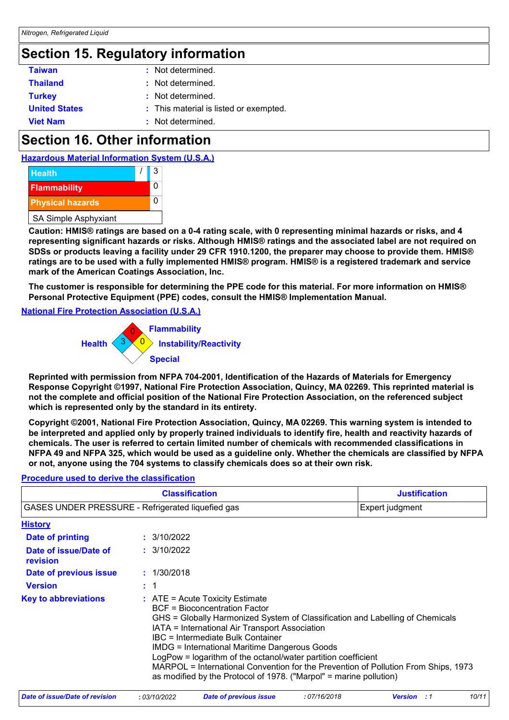### **Section 15. Regulatory information**

| <b>Taiwan</b>        | : Not determined.                      |
|----------------------|----------------------------------------|
| <b>Thailand</b>      | : Not determined.                      |
| <b>Turkey</b>        | : Not determined.                      |
| <b>United States</b> | : This material is listed or exempted. |
| <b>Viet Nam</b>      | : Not determined.                      |

### **Section 16. Other information**





**Caution: HMIS® ratings are based on a 0-4 rating scale, with 0 representing minimal hazards or risks, and 4 representing significant hazards or risks. Although HMIS® ratings and the associated label are not required on SDSs or products leaving a facility under 29 CFR 1910.1200, the preparer may choose to provide them. HMIS® ratings are to be used with a fully implemented HMIS® program. HMIS® is a registered trademark and service mark of the American Coatings Association, Inc.**

**The customer is responsible for determining the PPE code for this material. For more information on HMIS® Personal Protective Equipment (PPE) codes, consult the HMIS® Implementation Manual.**

#### **National Fire Protection Association (U.S.A.)**



**Reprinted with permission from NFPA 704-2001, Identification of the Hazards of Materials for Emergency Response Copyright ©1997, National Fire Protection Association, Quincy, MA 02269. This reprinted material is not the complete and official position of the National Fire Protection Association, on the referenced subject which is represented only by the standard in its entirety.**

**Copyright ©2001, National Fire Protection Association, Quincy, MA 02269. This warning system is intended to be interpreted and applied only by properly trained individuals to identify fire, health and reactivity hazards of chemicals. The user is referred to certain limited number of chemicals with recommended classifications in NFPA 49 and NFPA 325, which would be used as a guideline only. Whether the chemicals are classified by NFPA or not, anyone using the 704 systems to classify chemicals does so at their own risk.**

| <b>Classification</b>                             |  |                                                                                                                                                                                                                                                                                                                                                                                                                                                                                                                                   | <b>Justification</b> |
|---------------------------------------------------|--|-----------------------------------------------------------------------------------------------------------------------------------------------------------------------------------------------------------------------------------------------------------------------------------------------------------------------------------------------------------------------------------------------------------------------------------------------------------------------------------------------------------------------------------|----------------------|
| GASES UNDER PRESSURE - Refrigerated liquefied gas |  |                                                                                                                                                                                                                                                                                                                                                                                                                                                                                                                                   | Expert judgment      |
| <b>History</b>                                    |  |                                                                                                                                                                                                                                                                                                                                                                                                                                                                                                                                   |                      |
| Date of printing                                  |  | : 3/10/2022                                                                                                                                                                                                                                                                                                                                                                                                                                                                                                                       |                      |
| Date of issue/Date of<br>revision                 |  | : 3/10/2022                                                                                                                                                                                                                                                                                                                                                                                                                                                                                                                       |                      |
| Date of previous issue                            |  | : 1/30/2018                                                                                                                                                                                                                                                                                                                                                                                                                                                                                                                       |                      |
| <b>Version</b>                                    |  | $\div$ 1                                                                                                                                                                                                                                                                                                                                                                                                                                                                                                                          |                      |
| <b>Key to abbreviations</b>                       |  | $\therefore$ ATE = Acute Toxicity Estimate<br>BCF = Bioconcentration Factor<br>GHS = Globally Harmonized System of Classification and Labelling of Chemicals<br>IATA = International Air Transport Association<br>IBC = Intermediate Bulk Container<br>IMDG = International Maritime Dangerous Goods<br>LogPow = logarithm of the octanol/water partition coefficient<br>MARPOL = International Convention for the Prevention of Pollution From Ships, 1973<br>as modified by the Protocol of 1978. ("Marpol" = marine pollution) |                      |

#### **Procedure used to derive the classification**